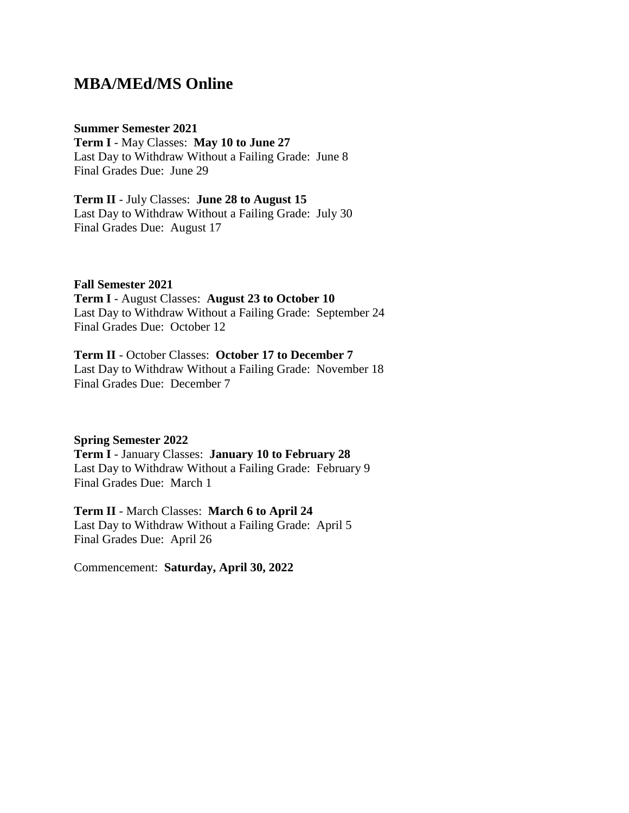## **MBA/MEd/MS Online**

#### **Summer Semester 2021**

**Term I** - May Classes: **May 10 to June 27** Last Day to Withdraw Without a Failing Grade: June 8 Final Grades Due: June 29

**Term II** - July Classes: **June 28 to August 15** Last Day to Withdraw Without a Failing Grade: July 30 Final Grades Due: August 17

**Fall Semester 2021**

**Term I** - August Classes: **August 23 to October 10** Last Day to Withdraw Without a Failing Grade: September 24 Final Grades Due: October 12

**Term II** - October Classes: **October 17 to December 7** Last Day to Withdraw Without a Failing Grade: November 18 Final Grades Due: December 7

**Spring Semester 2022 Term I** - January Classes: **January 10 to February 28** Last Day to Withdraw Without a Failing Grade: February 9 Final Grades Due: March 1

**Term II** - March Classes: **March 6 to April 24** Last Day to Withdraw Without a Failing Grade: April 5 Final Grades Due: April 26

Commencement: **Saturday, April 30, 2022**